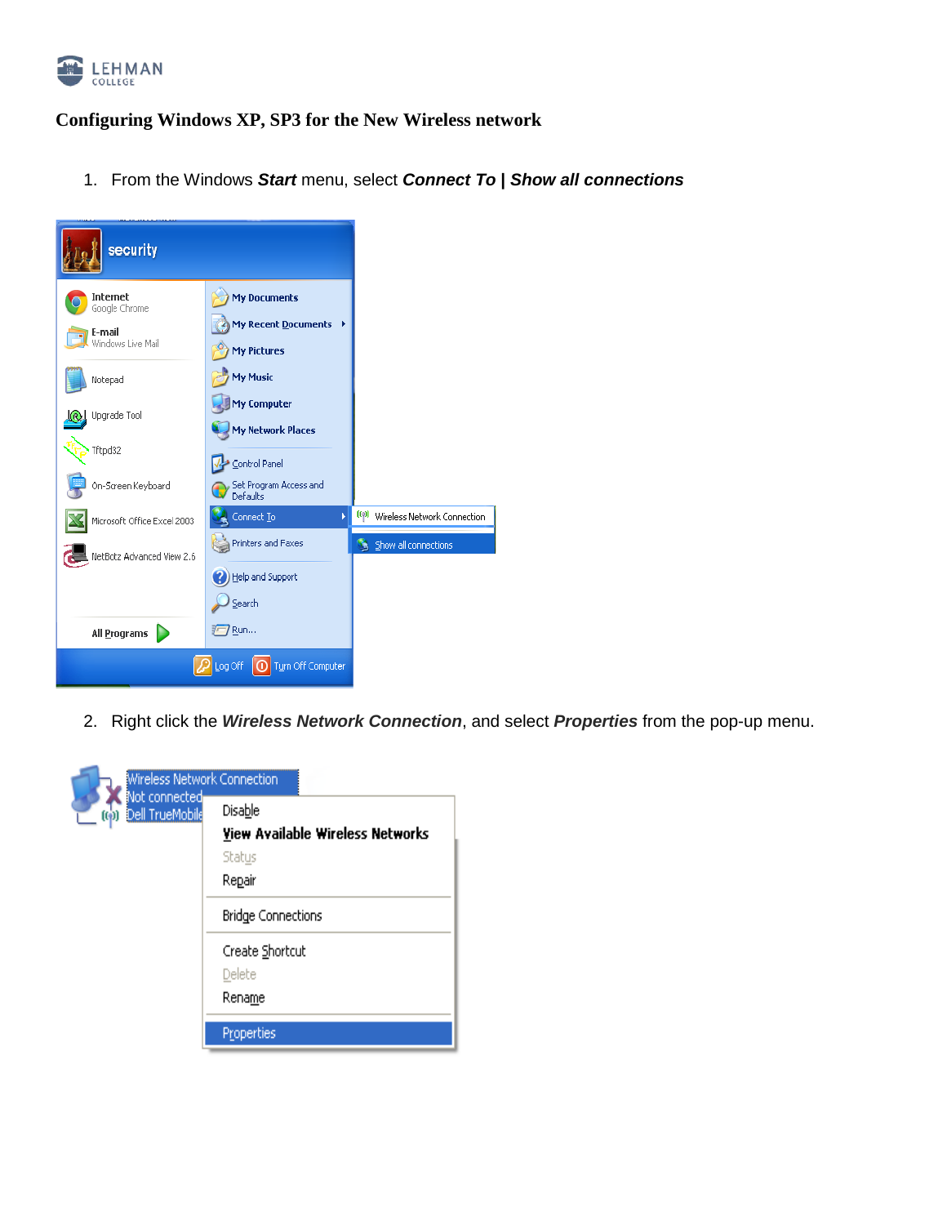

## **Configuring Windows XP, SP3 for the New Wireless network**

1. From the Windows *Start* menu, select *Connect To* **|** *Show all connections*



2. Right click the *Wireless Network Connection*, and select *Properties* from the pop-up menu.

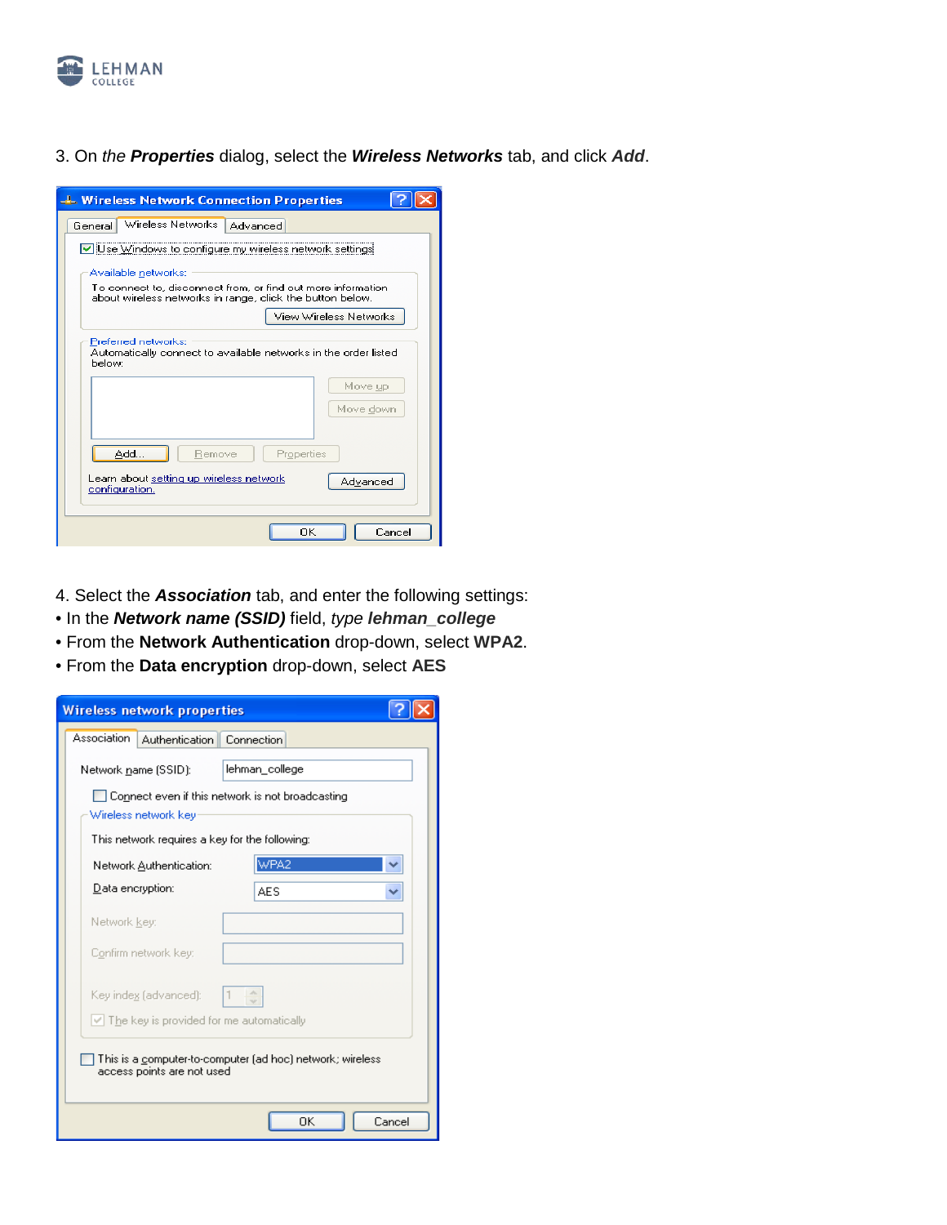

3. On *the Properties* dialog, select the *Wireless Networks* tab, and click *Add*.

| Wireless Networks<br>Advanced<br>General<br>Villse Windows to configure my wireless network settings                      |
|---------------------------------------------------------------------------------------------------------------------------|
|                                                                                                                           |
|                                                                                                                           |
| Available networks:                                                                                                       |
| To connect to, disconnect from, or find out more information<br>about wireless networks in range, click the button below. |
| View Wireless Networks                                                                                                    |
| Preferred networks:                                                                                                       |
| Automatically connect to available networks in the order listed<br>below:                                                 |
| Move up                                                                                                                   |
| Move down                                                                                                                 |
|                                                                                                                           |
| Add<br>Remove<br>Properties                                                                                               |
| Learn about setting up wireless network<br>Advanced                                                                       |
| configuration.                                                                                                            |
| ПK<br>Cancel                                                                                                              |

- 4. Select the *Association* tab, and enter the following settings:
- In the *Network name (SSID)* field, *type lehman\_college*
- From the **Network Authentication** drop-down, select **WPA2**.
- From the **Data encryption** drop-down, select **AES**

| <b>Wireless network properties</b>              |                                                                   |
|-------------------------------------------------|-------------------------------------------------------------------|
| Association<br>Authentication                   | Connection                                                        |
| Network name (SSID):                            | lehman college                                                    |
| Wireless network key                            | Connect even if this network is not broadcasting                  |
| This network requires a key for the following:  |                                                                   |
| Network Authentication:                         | WPA2                                                              |
| Data encryption:                                | <b>AES</b>                                                        |
| Network key:                                    |                                                                   |
| Confirm network key:                            |                                                                   |
| Key index (advanced):                           | ٨                                                                 |
| $\vee$ The key is provided for me automatically |                                                                   |
| access points are not used                      | This is a <u>c</u> omputer-to-computer (ad hoc) network; wireless |
|                                                 | ОK<br>Cancel                                                      |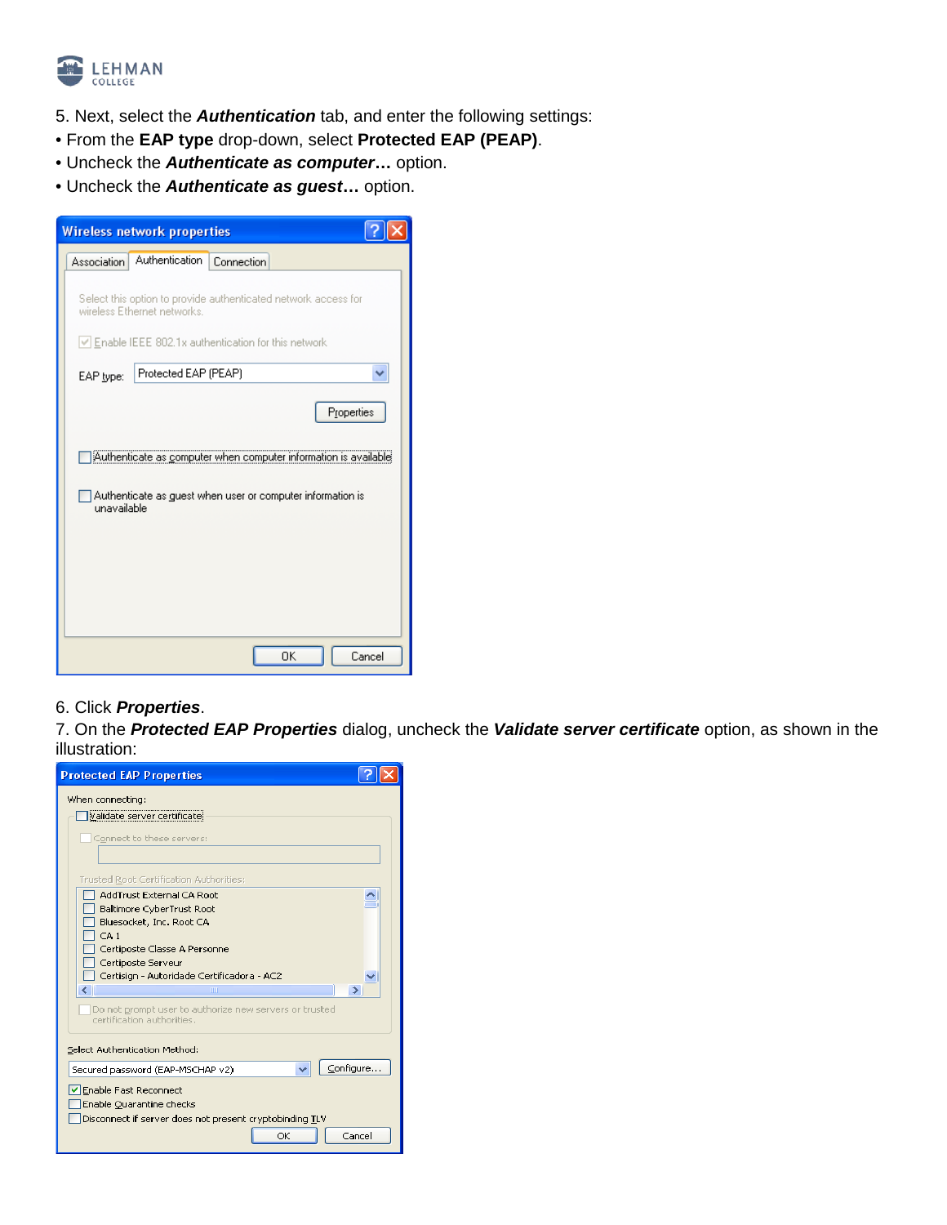

- 5. Next, select the *Authentication* tab, and enter the following settings:
- From the **EAP type** drop-down, select **Protected EAP (PEAP)**.
- Uncheck the *Authenticate as computer***…** option.
- Uncheck the *Authenticate as guest***…** option.

|             | <b>Wireless network properties</b>                                                                                            |            |    |            |
|-------------|-------------------------------------------------------------------------------------------------------------------------------|------------|----|------------|
| Association | Authentication                                                                                                                | Connection |    |            |
|             | Select this option to provide authenticated network access for<br>wireless Ethernet networks.                                 |            |    |            |
|             | $\vee$ Enable IEEE 802.1x authentication for this network                                                                     |            |    |            |
| EAP type:   | Protected EAP (PEAP)                                                                                                          |            |    |            |
| unavailable | Authenticate as computer when computer information is available<br>Authenticate as guest when user or computer information is |            |    | Properties |
|             |                                                                                                                               |            | OK | Cancel     |

## 6. Click *Properties*.

7. On the *Protected EAP Properties* dialog, uncheck the *Validate server certificate* option, as shown in the illustration:

| <b>Protected EAP Properties</b>                                                      |
|--------------------------------------------------------------------------------------|
| When connecting:                                                                     |
| Malidate server certificate                                                          |
| Connect to these servers:                                                            |
|                                                                                      |
| Trusted Root Certification Authorities:                                              |
| AddTrust External CA Root                                                            |
| Baltimore CyberTrust Root<br>Bluesocket, Inc. Root CA                                |
| CA1                                                                                  |
| Certiposte Classe A Personne<br>Certiposte Serveur                                   |
| Certisign - Autoridade Certificadora - AC2                                           |
| ⋖<br>THE                                                                             |
| Do not prompt user to authorize new servers or trusted<br>certification authorities. |
| Select Authentication Method:                                                        |
| Configure<br>Secured password (EAP-MSCHAP v2)                                        |
| Enable Fast Reconnect                                                                |
| Enable Quarantine checks<br>Disconnect if server does not present cryptobinding TLV  |
| Cancel<br>OK                                                                         |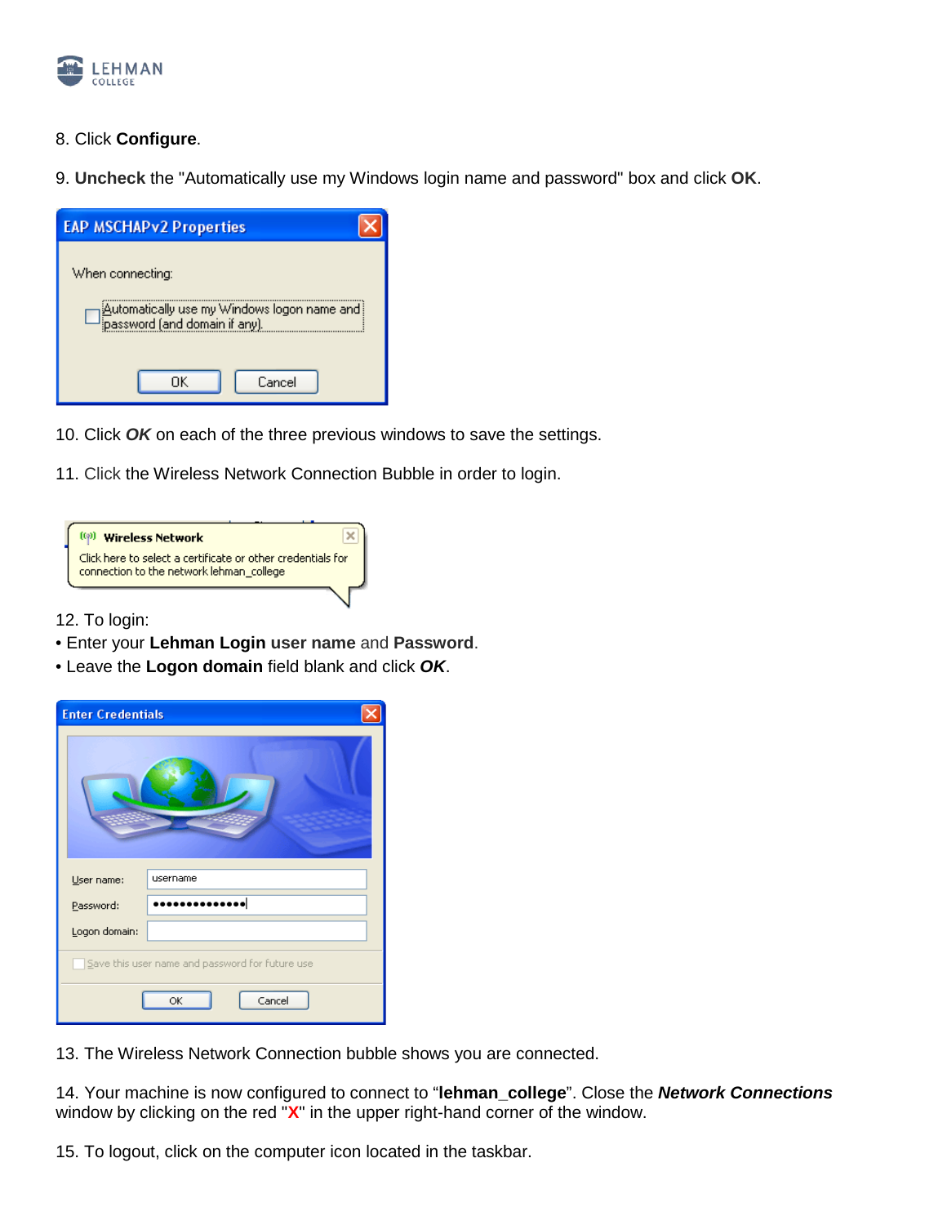

- 8. Click **Configure**.
- 9. **Uncheck** the "Automatically use my Windows login name and password" box and click **OK**.

| <b>EAP MSCHAPv2 Properties</b>                                               |  |
|------------------------------------------------------------------------------|--|
| When connecting:                                                             |  |
| Automatically use my Windows logon name and<br>password (and domain if any). |  |
| ΠK<br>Cancel                                                                 |  |
|                                                                              |  |

- 10. Click *OK* on each of the three previous windows to save the settings.
- 11. Click the Wireless Network Connection Bubble in order to login.

| <sup>((p)</sup> Wireless Network                                                                        |  |
|---------------------------------------------------------------------------------------------------------|--|
| Click here to select a certificate or other credentials for<br>connection to the network lehman college |  |
|                                                                                                         |  |

12. To login:

- Enter your **Lehman Login user name** and **Password**.
- Leave the **Logon domain** field blank and click *OK*.

| <b>Enter Credentials</b> |                                                 |
|--------------------------|-------------------------------------------------|
|                          |                                                 |
| User name:               | username                                        |
| Password:                | .                                               |
| Logon domain:            |                                                 |
|                          | Save this user name and password for future use |
|                          | Cancel<br>OK                                    |

13. The Wireless Network Connection bubble shows you are connected.

14. Your machine is now configured to connect to "**lehman\_college**". Close the *Network Connections* window by clicking on the red "**X**" in the upper right-hand corner of the window.

15. To logout, click on the computer icon located in the taskbar.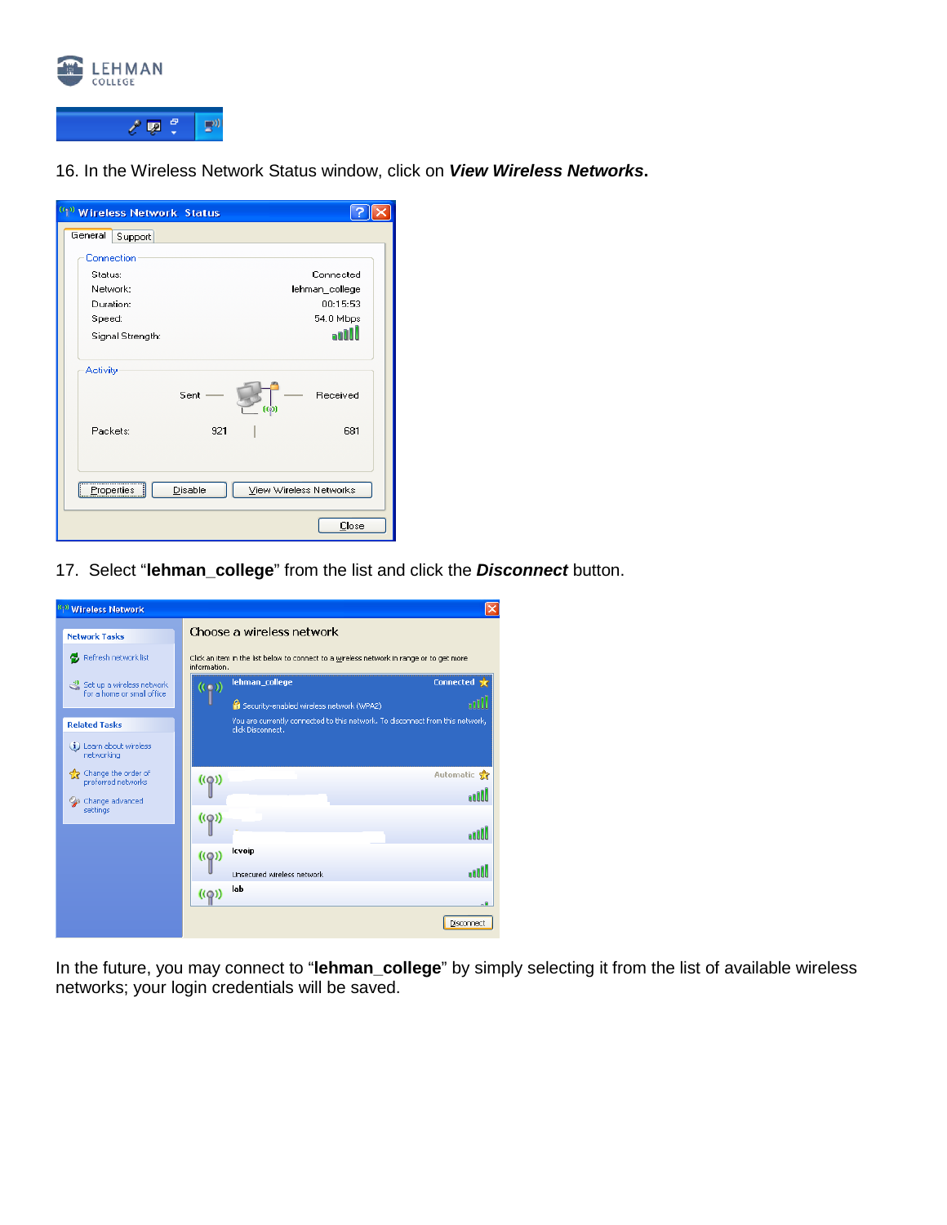

16. In the Wireless Network Status window, click on *View Wireless Networks***.**

| (i) Wireless Network Status |                        |
|-----------------------------|------------------------|
| General<br>Support          |                        |
| Connection                  |                        |
| Status:                     | Connected              |
| Network:                    | lehman_college         |
| Duration:                   | 00:15:53               |
| Speed:                      | 54.0 Mbps              |
| Signal Strength:            | annil                  |
| Activity                    |                        |
| Sent                        | Received<br>(Q)        |
| Packets:<br>921             | 681                    |
| Disable<br>Properties       | View Wireless Networks |
|                             | Close                  |

17. Select "**lehman\_college**" from the list and click the *Disconnect* button.

| ((a) Wireless Network                                   |                                                                                                          |
|---------------------------------------------------------|----------------------------------------------------------------------------------------------------------|
| <b>Network Tasks</b>                                    | Choose a wireless network                                                                                |
| Refresh network list<br>е                               | Click an item in the list below to connect to a wireless network in range or to get more<br>information. |
| Set up a wireless network<br>for a home or small office | lehman_college<br>Connected <sub>76</sub><br>((ල))<br>Security-enabled wireless network (WPA2)           |
| <b>Related Tasks</b>                                    | You are currently connected to this network. To disconnect from this network,<br>click Disconnect.       |
| (i) Learn about wireless<br>networking                  |                                                                                                          |
| Change the order of<br>preferred networks<br>52         | Automatic S<br>$\circ$                                                                                   |
| Change advanced<br>settings                             |                                                                                                          |
|                                                         | $((\mathsf{Q})$<br>aadil                                                                                 |
|                                                         | <b>Icvoip</b><br>$($ ( $\circ$ )                                                                         |
|                                                         | Unsecured wireless network                                                                               |
|                                                         | lah<br>((ဝူ)                                                                                             |
|                                                         | Disconnect                                                                                               |

In the future, you may connect to "**lehman\_college**" by simply selecting it from the list of available wireless networks; your login credentials will be saved.